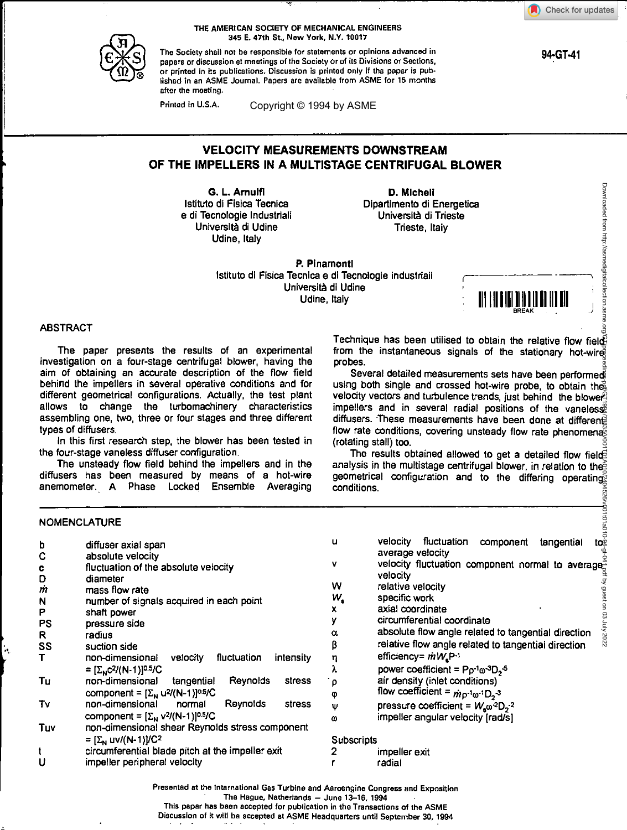**94-GT-41** 

Downloaded from http://asmedigitalcollection.asr



THE AMERICAN SOCIETY OF MECHANICAL ENGINEERS 345 E. 47th St., New York, N.Y. 10017

The Society shall not be responsible for statements or opinions advanced in papers or discussion at meetings of the Society or of its Divisions or Sections, or printed in its publications. Discussion is printed only if the paper is published in an ASME Journal. Papers are available from ASME for 15 months after the meeting.

Printed in U.S.A.

Copyright © 1994 by ASME

# **VELOCITY MEASUREMENTS DOWNSTREAM OF THE IMPELLERS IN A MULTISTAGE CENTRIFUGAL BLOWER**

**G. L. Amulfl**  Istituto di Fisica Tecnica e di Tecnologie Industriali Universita di Udine Udine, Italy

**D. Michell**  Dipartimento di Energetica Universita di Trieste Trieste, Italy

**P. Pinamonfl**  Istituto di Fisica Tecnica e di Tecnologie Industriali Universlta di Udine Udine, Italy

111111 11111R111 <sup>1</sup> 111111111

# ABSTRACT

The paper presents the results of an experimental investigation on a four-stage centrifugal blower, having the aim of obtaining an accurate description of the flow field behind the impellers in several operative conditions and for different geometrical configurations. Actually, the test plant allows to change the turbomachinery characteristics assembling one, two, three or four stages and three different types of diffusers.

In this first research step, the blower has been tested in the four-stage vaneless diffuser configuration.

The unsteady flow field behind the impellers and in the diffusers has been measured by means of a hot-wire anemometer.. A Phase Locked Ensemble Averaging

Technique has been utilised to obtain the relative flow field? from the instantaneous signals of the stationary hot-wire probes.

Several detailed measurements sets have been performed using both single and crossed hot-wire probe, to obtain the velocity vectors and turbulence trends, just behind the blower impellers and in several radial positions of the vaneless diffusers. These measurements have been done at differente flow rate conditions, covering unsteady flow rate phenomenas (rotating stall) too. Downloaded from http://asmedigitalcollection.asme.org/GT/proceedings-pdf/GT1994/78835/V001T01A010/2404526/v001t01a010-94-gt-041.pdf by guest on 03 July 2022

The results obtained allowed to get a detailed flow fields analysis in the multistage centrifugal blower, in relation to the geometrical configuration and to the differing operating conditions.

### **NOMENCLATURE**

| b           | diffuser axial span                                                | u          | fluctuation<br>velocity<br>component<br>tangential<br>to                                  |
|-------------|--------------------------------------------------------------------|------------|-------------------------------------------------------------------------------------------|
| $\mathbf C$ | absolute velocity                                                  |            | average velocity                                                                          |
| c           | fluctuation of the absolute velocity                               | v          | velocity fluctuation component normal to average                                          |
| D           | diameter                                                           |            | velocity                                                                                  |
| m           | mass flow rate                                                     | w          | relative velocity                                                                         |
| N           | number of signals acquired in each point                           | w,         | specific work                                                                             |
| P           | shaft power                                                        | x          | axial coordinate                                                                          |
|             |                                                                    |            | circumferential coordinate                                                                |
| <b>PS</b>   | pressure side                                                      | α          | absolute flow angle related to tangential direction                                       |
| R.          | radius                                                             |            |                                                                                           |
| SS          | suction side                                                       | β          | relative flow angle related to tangential direction                                       |
|             | fluctuation<br>non-dimensional<br>velocity<br>intensity            | η          | efficiency= $\dot{m}W_eP^{-1}$                                                            |
|             | = $[\Sigma_{N}C^{2}/(N-1)]^{0.5}/C$                                | λ          | power coefficient = $Pp^{-1}$ $\omega^{-3}D_2$ <sup>5</sup>                               |
| Tu          | non-dimensional<br>Reynolds<br>stress<br>tangential                | ρ          | air density (inlet conditions)                                                            |
|             | component = $[\Sigma_{N}$ u <sup>2</sup> /(N-1)] <sup>0.5</sup> /C | φ          | flow coefficient = $\dot{m}$ <sup>1</sup> <sub>0</sub> -1 <sub>0</sub> -1 <sub>2</sub> -3 |
| T٧          | non-dimensional<br>Reynolds<br>normal<br>stress                    | Ψ          | pressure coefficient = $W_a \omega^2 D_2^{-2}$                                            |
|             | component = $[\Sigma_{N}$ v <sup>2</sup> /(N-1)] <sup>0.5/</sup> C | ω          | impeller angular velocity [rad/s]                                                         |
| Tuv         | non-dimensional shear Reynolds stress component                    |            |                                                                                           |
|             | = $[\Sigma_{N}$ uv/(N-1)]/C <sup>2</sup>                           | Subscripts |                                                                                           |
|             |                                                                    |            |                                                                                           |
|             | circumferential blade pitch at the impeller exit                   |            | impeller exit                                                                             |
| U           | impeller peripheral velocity                                       |            | radial                                                                                    |
|             |                                                                    |            |                                                                                           |

Presented at the International Gas Turbine and Aeroengine Congress and Exposition

The Hague, Netherlands — June 13-16, 1994

This paper has been accepted for publication in the Transactions of the ASME

Discussion of it will be accepted at ASME Headquarters until September 30, 1994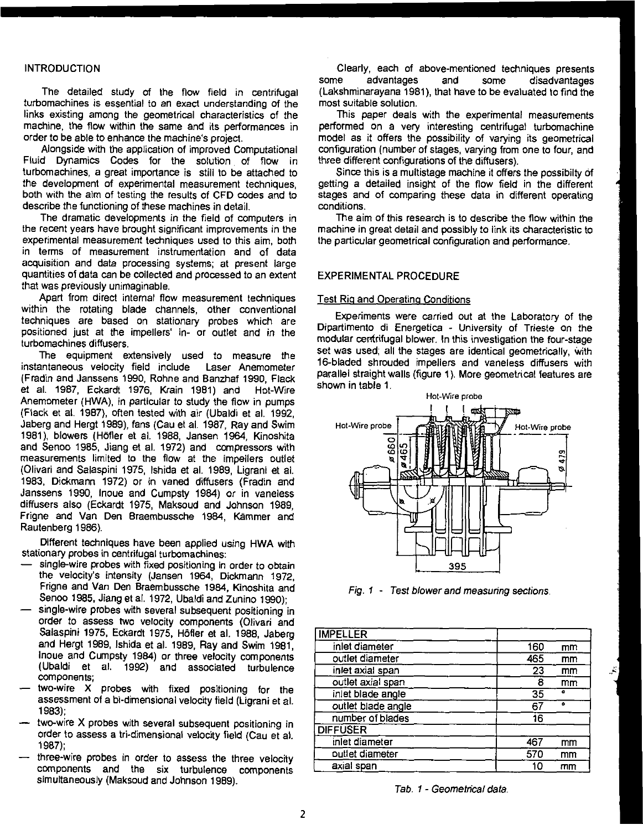# INTRODUCTION

The detailed study of the flow field in centrifugal turbomachines is essential to an exact understanding of the links existing among the geometrical characteristics of the machine, the flow within the same and its performances in order to be able to enhance the machine's project.

Alongside with the application of improved Computational Fluid Dynamics Codes for the solution of flow in turbomachines, a great importance is still to be attached to the development of experimental measurement techniques, both with the aim of testing the results of CFD codes and to describe the functioning of these machines in detail.

The dramatic developments in the field of computers in the recent years have brought significant improvements in the experimental measurement techniques used to this aim, both in terms of measurement instrumentation and of data acquisition and data processing systems; at present large quantities of data can be collected and processed to an extent that was previously unimaginable.

Apart from direct internal flow measurement techniques within the rotating blade channels, other conventional techniques are based on stationary probes which are positioned just at the impellers' in- or outlet and in the turbomachines diffusers.

The equipment extensively used to measure the instantaneous velocity field include Laser Anemometer (Fradin and Janssens 1990, Rohne and Banzhaf 1990, Flack et al. 1987, Eckardt 1976, Krain 1981) and Hot-Wire Anemometer (HWA), in particular to study the flow in pumps (Flack at al. 1987), often tested with air (Ubaldi et al. 1992, Jaberg and Hergt 1989), fans (Cau et al. 1987, Ray and Swim 1981), blowers (Höfler et al. 1988, Jansen 1964, Kinoshita and Senoo 1985, Jiang et al. 1972) and compressors with measurements limited to the flow at the impellers outlet (Olivari and Salaspini 1975, Ishida et al. 1989, Ligrani et al. 1983, Dickmann 1972) or in vaned diffusers (Fradin and Janssens 1990, Inoue and Cumpsty 1984) or in vaneless diffusers also (Eckardt 1975, Maksoud and Johnson 1989, Frigne and Van Den Braembussche 1984, Kammer and Rautenberg 1986).

Different techniques have been applied using HWA with stationary probes in centrifugal turbomachines:

- single-wire probes with fixed positioning in order to obtain the velocity's intensity (Jansen 1964, Dickmann 1972, Frigne and Van Den Braembussche 1984, Kinoshita and Senoo 1985, Jiang et al. 1972, Ubaldi and Zunino 1990);
- single-wire probes with several subsequent positioning in order to assess two velocity components (Olivari and Salaspini 1975, Eckardt 1975, Höfler et al. 1988, Jaberg and Hergt 1989, Ishida et al. 1989, Ray and Swim 1981, Inoue and Cumpsty 1984) or three velocity components (Ubaldi et al. 1992) and associated turbulence components;
- two-wire X probes with fixed positioning for the assessment of a bi-dimensional velocity field (Ligrani et al. 1983);
- two-wire X probes with several subsequent positioning in order to assess a tri-dimensional velocity field (Cau et al. 1987);
- three-wire probes in order to assess the three velocity components and the six turbulence components simultaneously (Maksoud and Johnson 1989).

Clearly, each of above-mentioned techniques presents some advantages and some disadvantages (Lakshminarayana 1981), that have to be evaluated to find the most suitable solution.

This paper deals with the experimental measurements performed on a very interesting centrifugal turbomachine model as it offers the possibility of varying its geometrical configuration (number of stages, varying from one to four, and three different configurations of the diffusers).

Since this is a multistage machine it offers the possibilty of getting a detailed insight of the flow field in the different stages and of comparing these data in different operating conditions.

The aim of this research is to describe the flow within the machine in great detail and possibly to link its characteristic to the particular geometrical configuration and performance.

#### EXPERIMENTAL PROCEDURE

#### Test Rig and Operating Conditions

Experiments were carried out at the Laboratory of the Dipartimento di Energetica - University of Trieste on the modular centrifugal blower. In this investigation the four-stage set was used; all the stages are identical geometrically, with 16-bladed shrouded impellers and vaneless diffusers with parallel straight walls (figure 1). More geometrical features are shown in table 1.

downloaded from http://asmedigitalcollection.asmedia.com/GT1994/78835/V001T01a0112435/V001T01A010/240452635/V0<br>Population and oscillations-particlestic on 03 July 2022



Fig. 1 - Test blower and measuring sections.

| <b>IMPELLER</b>    |     |    |
|--------------------|-----|----|
| inlet diameter     | 160 | mm |
| outlet diameter    | 465 | mm |
| inlet axial span   | 23  | mm |
| outlet axial span  | я   | mm |
| inlet blade angle  | 35  | ۰  |
| outlet blade angle | 67  | ۰  |
| number of blades   | 16  |    |
| <b>DIFFUSER</b>    |     |    |
| inlet diameter     | 467 | mm |
| outlet diameter    | 570 | mm |
| axial span         | 10  | mm |

Tab. 1 - Geometrical data.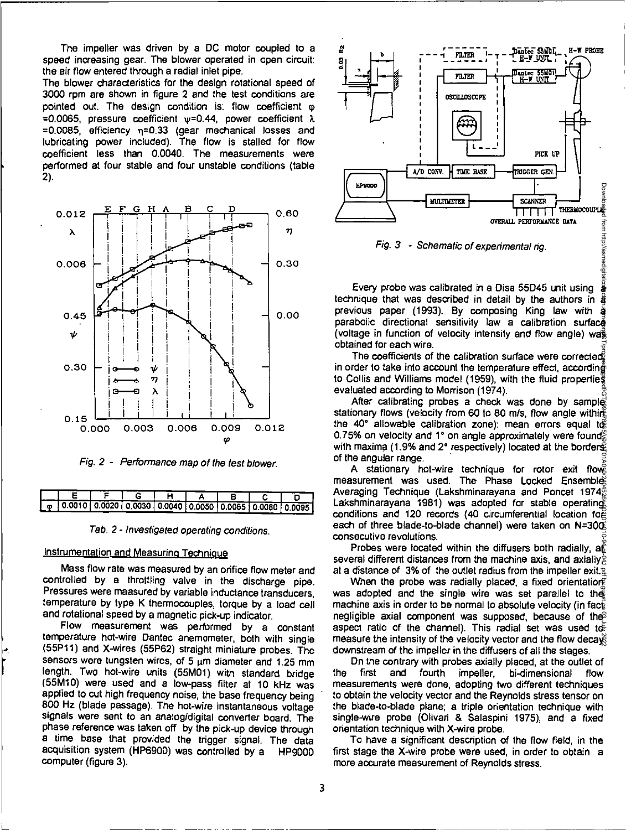The impeller was driven by a DC motor coupled to a speed increasing gear. The blower operated in open circuit: the air flow entered through a radial inlet pipe.

The blower characteristics for the design rotational speed of 3000 rpm are shown in figure 2 and the test conditions are pointed out. The design condition is: flow coefficient  $\varphi$ =0.0065, pressure coefficient  $v=0.44$ , power coefficient  $\lambda$  $=0.0085$ , efficiency  $\eta = 0.33$  (gear mechanical losses and lubricating power included). The flow is stalled for flow coefficient less than 0.0040. The measurements were performed at four stable and four unstable conditions (table 2).



Fig. 2 - Performance map of the test blower.

| 10.0010   0.0020   0.0030   0.0040   0.0050   0.0065   0.0080   0.0095 |  |  |  |  |
|------------------------------------------------------------------------|--|--|--|--|



# Instrumentation and Measuring Technique

Mass flow rate was measured by an orifice flow meter and controlled by a throttling valve in the discharge pipe. Pressures were measured by variable inductance transducers, temperature by type K thermocouples, torque by a load cell and rotational speed by a magnetic pick-up indicator.

Flow measurement was performed by a constant temperature hot-wire Dantec anemometer, both with single (55P11) and X-wires (55P62) straight miniature probes. The sensors were tungsten wires, of 5  $\mu$ m diameter and 1.25 mm length. Two hot-wire units (55M01) with standard bridge (55M10) were used and a low-pass filter at 10 kHz was applied to cut high frequency noise, the base frequency being 800 Hz (blade passage). The hot-wire instantaneous voltage signals were sent to an analog/digital converter board. The phase reference was taken off by the pick-up device through a time base that provided the trigger signal. The data acquisition system (HP6900) was controlled by a HP9000 computer (figure 3).



Fig. 3 - Schematic of experimental rig.

Every probe was calibrated in a Disa 55D45 unit using  $\,\hat{\mathrm{g}}$ technique that was described in detail by the authors in a previous paper (1993). By composing King law with a parabolic directional sensitivity law a calibration surface (voltage in function of velocity intensity and flow angle) was obtained for each wire.

The coefficients of the calibration surface were corrected in order to take into account the temperature effect, according to Collis and Williams model (1959), with the fluid properties evaluated according to Morrison (1974).

After calibrating probes a check was done by sample stationary flows (velocity from 60 to 80 m/s, flow angle withing the 40° allowable calibration zone): mean errors equal to 0.75% on velocity and 1° on angle approximately were found $\frac{\infty}{6}$ with maxima (1.9% and 2° respectively) located at the borders of the angular range.

A stationary hot-wire technique for rotor exit flows measurement was used. The Phase Locked Ensembles Averaging Technique (Lakshminarayana and Poncet 1974, Lakshminarayana 1981) was adopted for stable operating conditions and 120 records (40 circumferential location for each of three blade-to-blade channel) were taken on N=30 $\overline{\Phi}$ consecutive revolutions. Downloaded from http://asmedigitalcollection.asme.org/GT/proceedings-pdf/GT1994/78835/V001T01A010/2404526/v001t01a010-94-gt-041.pdf by guest on 03 July 2022

Probes were located within the diffusers both radially,  $a\tilde{b}$ several different distances from the machine axis, and axially, at a distance of 3% of the outlet radius from the impeller exit.g

When the probe was radially placed, a fixed orientation? was adopted and the single wire was set parallel to the machine axis in order to be normal to absolute velocity (in facts negligible axial component was supposed, because of the aspect ratio of the channel). This radial set was used to measure the intensity of the velocity vector and the flow decays downstream of the impeller in the diffusers of all the stages.

On the contrary with probes axially placed, at the outlet of the first and fourth impeller, bi-dimensional flow measurements were done, adopting two different techniques to obtain the velocity vector and the Reynolds stress tensor on the blade-to-blade plane; a triple orientation technique with single-wire probe (Olivari & Salaspini 1975), and a fixed orientation technique with X-wire probe.

To have a significant description of the flow field, in the first stage the X-wire probe were used, in order to obtain a more accurate measurement of Reynolds stress.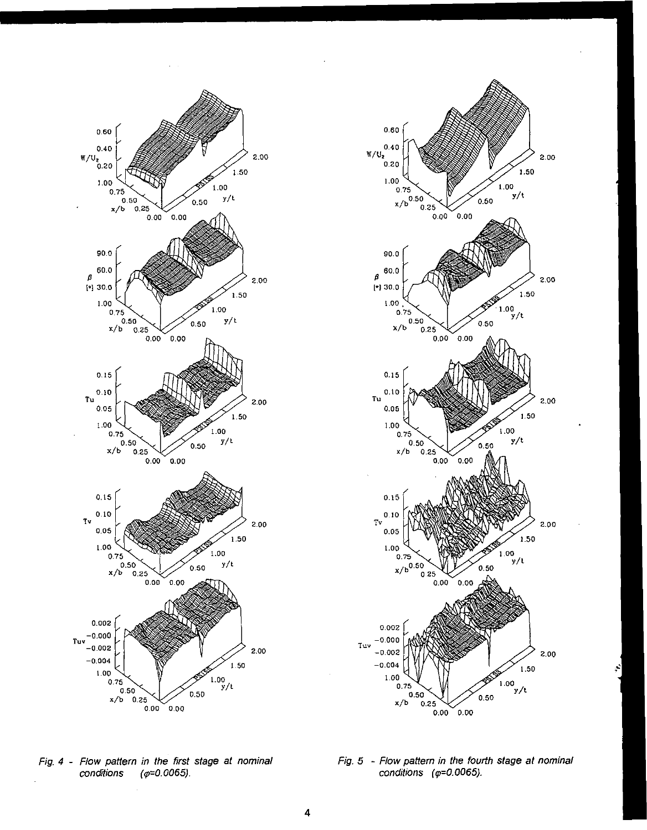



Fig. 4 - Flow pattern in the first stage at nominal conditions  $(\varphi = 0.0065)$ .

Fig. 5 - Flow pattern in the fourth stage at nominal conditions ( $\varphi$ =0.0065).

÷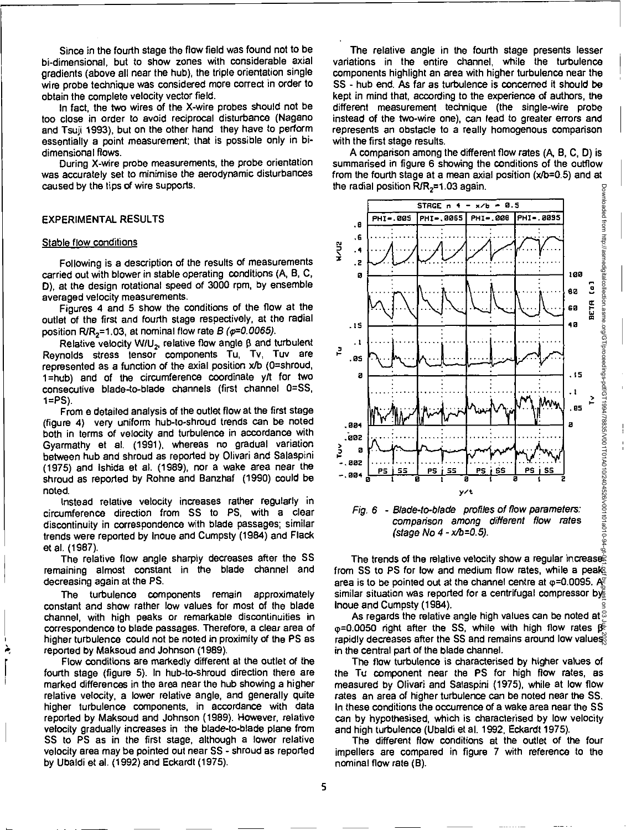Since in the fourth stage the flow field was found not to be bi-dimensional, but to show zones with considerable axial gradients (above all near the hub), the triple orientation single wire probe technique was considered more correct in order to obtain the complete velocity vector field.

In fact, the two wires of the X-wire probes should not be too close in order to avoid reciprocal disturbance (Nagano and Tsuji 1993), but on the other hand they have to perform essentially a point measurement; that is possible only in bidimensional flows.

During X-wire probe measurements, the probe orientation was accurately set to minimise the aerodynamic disturbances caused by the tips of wire supports.

# EXPERIMENTAL RESULTS

#### Stable flow conditions

Following is a description of the results of measurements carried out with blower in stable operating conditions (A, B, C, **D),** at the design rotational speed of 3000 rpm, by ensemble averaged velocity measurements.

Figures 4 and 5 show the conditions of the flow at the outlet of the first and fourth stage respectively, at the radial position R/R<sub>2</sub>=1.03, at nominal flow rate B ( $\varphi$ =0.0065).

Relative velocity W/U<sub>2</sub>, relative flow angle  $\beta$  and turbulent Reynolds stress tensor components Tu, Tv, Tuv are represented as a function of the axial position x/b (0=shroud, 1=hub) and of the circumference coordinate y/t for two consecutive blade-to-blade channels (first channel 0=SS, 1=PS).

From a detailed analysis of the outlet flow at the first stage (figure 4) very uniform hub-to-shroud trends can be noted both in terms of velocity and turbulence in accordance with Gyarmathy et al. (1991), whereas no gradual variation between hub and shroud as reported by Olivari and Salaspini (1975) and Ishida at al. (1989), nor a wake area near the shroud as reported by Rohne and Banzhaf (1990) could be noted.

Instead relative velocity increases rather regularly in circumference direction from SS to PS, with a clear discontinuity in correspondence with blade passages; similar trends were reported by Inoue and Cumpsty (1984) and Flack et al. (1987).

The relative flow angle sharply decreases after the SS remaining almost constant in the blade channel and decreasing again at the PS.

The turbulence components remain approximately constant and show rather low values for most of the blade channel, with high peaks or remarkable discontinuities in correspondence to blade passages. Therefore, a clear area of higher turbulence could not be noted in proximity of the PS as reported by Maksoud and Johnson (1989).

Flow conditions are markedly different at the outlet of the fourth stage (figure 5). In hub-to-shroud direction there are marked differences in the area near the hub showing a higher relative velocity, a lower relative angle, and generally quite higher turbulence components, in accordance with data reported by Maksoud and Johnson (1989). However, relative velocity gradually increases in the blade-to-blade plane from SS to PS as in the first stage, although a lower relative velocity area may be pointed out near SS - shroud as reported by Ubaldi et al. (1992) and Eckardt (1975).

The relative angle in the fourth stage presents lesser variations in the entire channel, while the turbulence components highlight an area with higher turbulence near the SS - hub end. As far as turbulence is concerned it should be kept in mind that, according to the experience of authors, the different measurement technique (the single-wire probe instead of the two-wire one), can lead to greater errors and represents an obstacle to a really homogenous comparison with the first stage results.

A comparison among the different flow rates (A, B, C, **D)** is summarised in figure 6 showing the conditions of the outflow from the fourth stage at a mean axial position (x/b=0.5) and at the radial position  $R/R<sub>2</sub>=1.03$  again. Downloaded from http://asmedigitalcollection.asme.org/GT/proceedings-pdf/GT1994/78835/V001T01A010/2404526/v001t01a010-94





The trends of the relative velocity show a regular increases from SS to PS for low and medium flow rates, while a peak area is to be pointed out at the channel centre at  $\varphi$ =0.0095. A similar situation was reported for a centrifugal compressor by Inoue and Cumpsty (1984). Downloaded from http://asmedigitalcollection.asme.org/GT/proceedings-pdf/GT1994/78835/V001T01A010/2404526/v001t01a010-94-gt-041.pdf by guest on 03 July 2022

As regards the relative angle high values can be noted at  $\otimes$  $p=0.0050$  right after the SS, while with high flow rates  $\beta \in$ rapidly decreases after the SS and remains around low values in the central part of the blade channel.

The flow turbulence is characterised by higher values of the Tu component near the PS for high flow rates, as measured by Olivari and Salaspini (1975), while at low flow rates an area of higher turbulence can be noted near the SS. In these conditions the occurrence of a wake area near the SS can by hypothesised, which is characterised by low velocity and high turbulence (Ubaldi et al. 1992, Eckardt 1975).

The different flow conditions at the outlet of the four impellers are compared in figure 7 with reference to the nominal flow rate (B).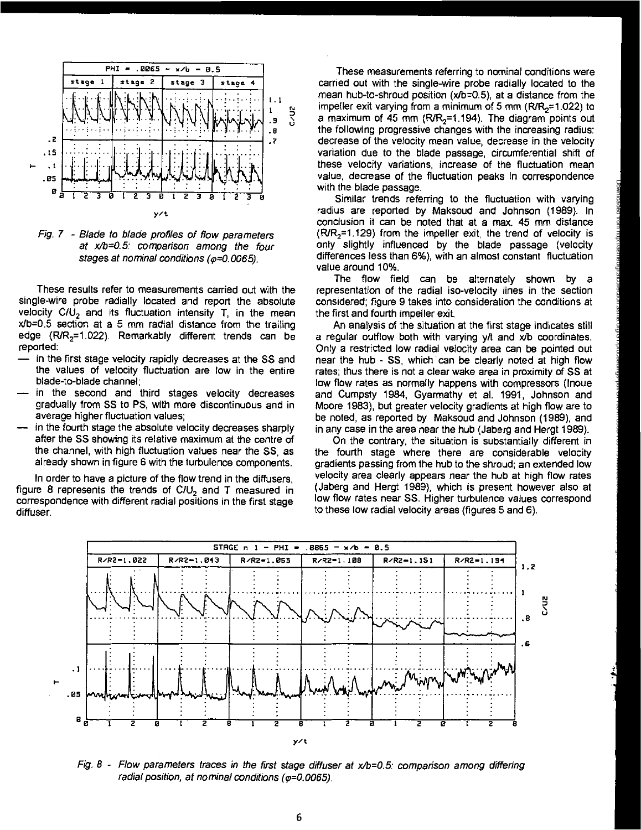

Fig. 7 - Blade to blade profiles of flow parameters at x/b=0.5: comparison among the four stages at nominal conditions ( $\varphi$ =0.0065).

These results refer to measurements carried out with the single-wire probe radially located and report the absolute velocity  $C/U<sub>2</sub>$  and its fluctuation intensity T, in the mean  $x/b=0.5$  section at a 5 mm radial distance from the trailing edge  $(R/R<sub>2</sub>=1.022)$ . Remarkably different trends can be reported:

- in the first stage velocity rapidly decreases at the SS and the values of velocity fluctuation are low in the entire blade-to-blade channel;
- in the second and third stages velocity decreases gradually from SS to PS, with more discontinuous and in average higher fluctuation values;
- in the fourth stage the absolute velocity decreases sharply after the SS showing its relative maximum at the centre of the channel, with high fluctuation values near the SS, as already shown in figure 6 with the turbulence components.

In order to have a picture of the flow trend in the diffusers, figure 8 represents the trends of  $C/U<sub>2</sub>$  and T measured in correspondence with different radial positions in the first stage diffuser.

These measurements referring to nominal conditions were carried out with the single-wire probe radially located to the mean hub-to-shroud position (x/b=0.5), at a distance from the impeller exit varying from a minimum of 5 mm ( $R/R<sub>2</sub>=1.022$ ) to a maximum of 45 mm  $(R/R<sub>2</sub>=1.194)$ . The diagram points out the following progressive changes with the increasing radius: decrease of the velocity mean value, decrease in the velocity variation due to the blade passage, circumferential shift of these velocity variations, increase of the fluctuation mean value, decrease of the fluctuation peaks in correspondence with the blade passage.

Similar trends referring to the fluctuation with varying radius are reported by Maksoud and Johnson (1989). In conclusion it can be noted that at a max. 45 mm distance  $(R/R<sub>2</sub>=1.129)$  from the impeller exit, the trend of velocity is only slightly influenced by the blade passage (velocity differences less than 6%), with an almost constant fluctuation value around 10%.

The flow field can be alternately shown by a representation of the radial iso-velocity lines in the section considered; figure 9 takes into consideration the conditions at the first and fourth impeller exit.

An analysis of the situation at the first stage indicates still a regular outflow both with varying  $y/t$  and  $x/b$  coordinates. Only a restricted low radial velocity area can be pointed out near the hub - SS, which can be clearly noted at high flow rates; thus there is not a clear wake area in proximity of SS at low flow rates as normally happens with compressors (Inoue and Cumpsty 1984, Gyarmathy et al. 1991, Johnson and Moore 1983), but greater velocity gradients at high flow are to be noted, as reported by Maksoud and Johnson (1989), and in any case in the area near the hub (Jaberg and Hergt 1989).

Downloaded from http://asmedigitalcollection.asme.org/GT/proceedings-pdf/GT1994/78835/V001T01A010/2404526/v001t01a010-94-gt-041.pdf by guest on 03 July 2022

On the contrary, the situation is substantially different in the fourth stage where there are considerable velocity gradients passing from the hub to the shroud; an extended low velocity area clearly appears near the hub at high flow rates (Jaberg and Hergt 1989), which is present however also at low flow rates near SS. Higher turbulence values correspond to these low radial velocity areas (figures 5 and 6).



Fig.  $8$  - Flow parameters traces in the first stage diffuser at  $x/b=0.5$ : comparison among differing radial position, at nominal conditions  $(\varphi=0.0065)$ .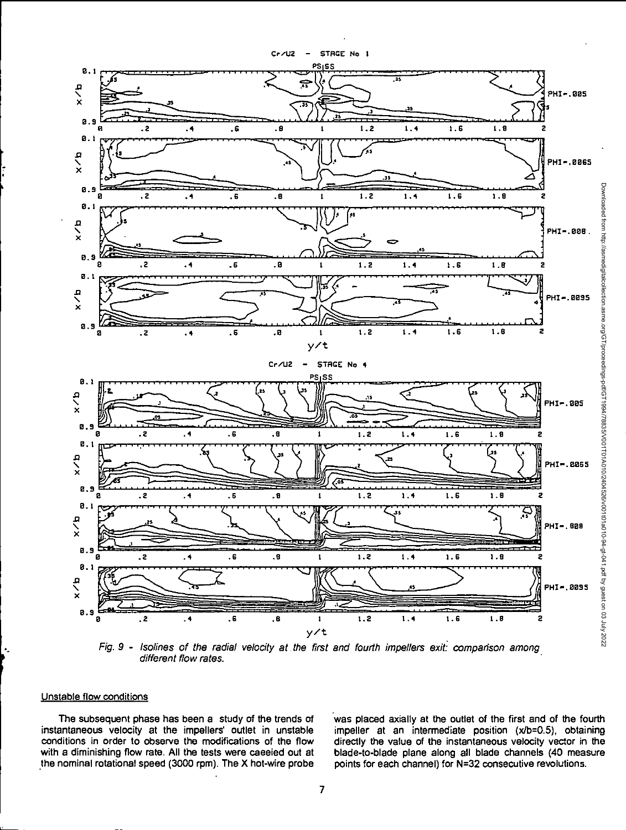

Fig. 9 - Isolines of the radial velocity at the first and fourth impellers exit: comparison among different flow rates.

### Unstable flow conditions

k,

The subsequent phase has been a study of the trends of instantaneous velocity at the impellers' outlet in unstable conditions in order to observe the modifications of the flow with a diminishing flow rate. All the tests were caeeied out at the nominal rotational speed (3000 rpm). The X hot-wire probe

was placed axially at the outlet of the first and of the fourth impeller at an intermediate position (x/b=0.5), obtaining directly the value of the instantaneous velocity vector in the blade-to-blade plane along all blade channels (40 measure points for each channel) for N=32 consecutive revolutions.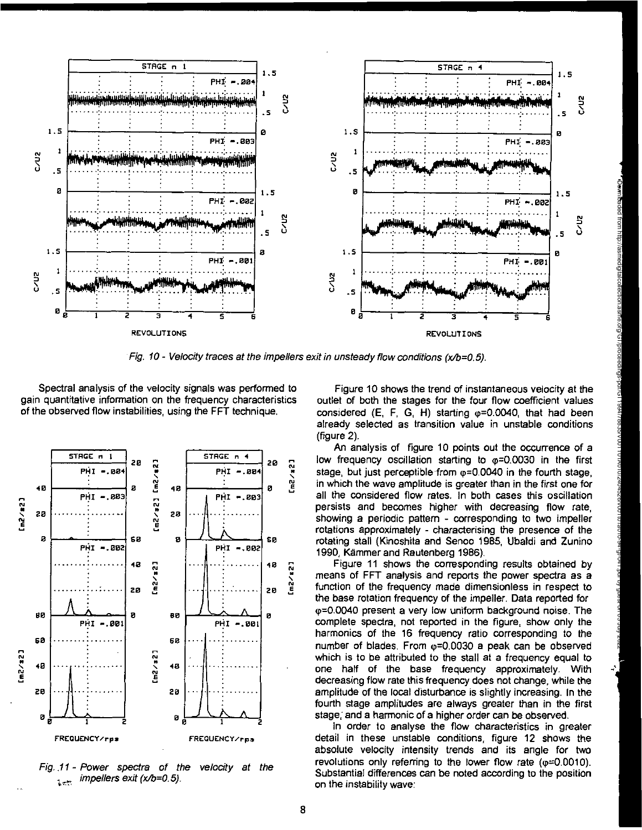

Fig. 10 - Velocity traces at the impellers exit in unsteady flow conditions  $(x/b=0.5)$ .

Spectral analysis of the velocity signals was performed to gain quantitative information on the frequency characteristics of the observed flow instabilities, using the FFT technique.



Fig. 11 - Power spectra of the velocity at the impellers exit (x/b=0.5).  $\tilde{\lambda}$  , in

Figure 10 shows the trend of instantaneous velocity at the outlet of both the stages for the four flow coefficient values considered  $(E, F, G, H)$  starting  $\omega = 0.0040$ , that had been already selected as transition value in unstable conditions  $(figure 2)$ .

An analysis of figure 10 points out the occurrence of a low frequency oscillation starting to  $\varphi = 0.0030$  in the first stage, but just perceptible from  $\varphi$ =0.0040 in the fourth stage, in which the wave amplitude is greater than in the first one for all the considered flow rates. In both cases this oscillation persists and becomes higher with decreasing flow rate. showing a periodic pattern - corresponding to two impeller rotations approximately - characterising the presence of the rotating stall (Kinoshita and Senoo 1985, Ubaldi and Zunino 1990, Kämmer and Rautenberg 1986).

Figure 11 shows the corresponding results obtained by means of FFT analysis and reports the power spectra as a function of the frequency made dimensionless in respect to the base rotation frequency of the impeller. Data reported for φ=0.0040 present a very low uniform background noise. The complete spectra, not reported in the figure, show only the harmonics of the 16 frequency ratio corresponding to the number of blades. From  $\varphi$ =0.0030 a peak can be observed which is to be attributed to the stall at a frequency equal to one half of the base frequency approximately. With decreasing flow rate this frequency does not change, while the amplitude of the local disturbance is slightly increasing. In the fourth stage amplitudes are always greater than in the first stage, and a harmonic of a higher order can be observed.

In order to analyse the flow characteristics in greater detail in these unstable conditions, figure 12 shows the absolute velocity intensity trends and its angle for two revolutions only referring to the lower flow rate ( $\omega$ =0.0010). Substantial differences can be noted according to the position on the instability wave: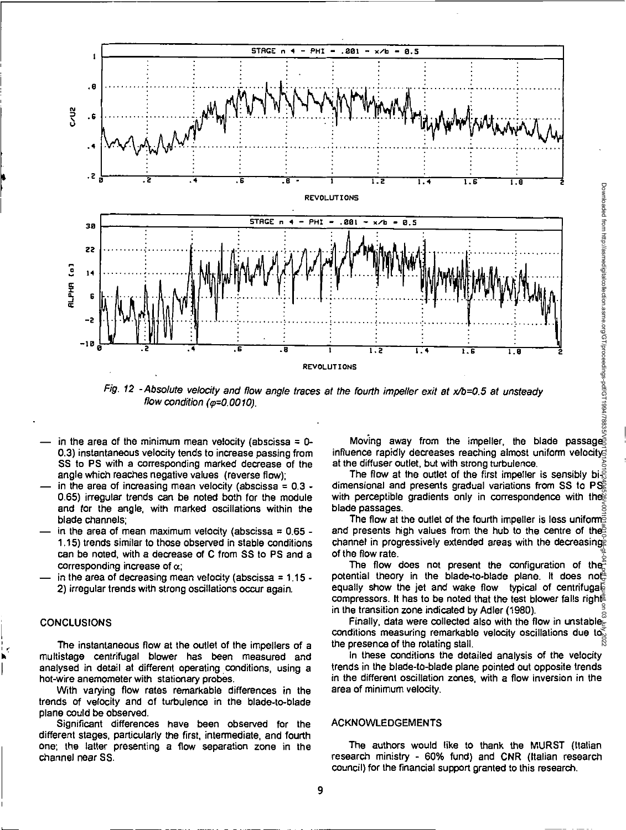

Fig. 12 - Absolute velocity and flow angle traces at the fourth impeller exit at x/b=0.5 at unsteady flow condition ( $\varphi$ =0.0010).

- in the area of the minimum mean velocity (abscissa =  $0-$ 0.3) instantaneous velocity tends to increase passing from SS to PS with a corresponding marked decrease of the angle which reaches negative values (reverse flow);
- in the area of increasing mean velocity (abscissa  $= 0.3 1$ 0.65) irregular trends can be noted both for the module and for the angle, with marked oscillations within the blade channels;
- in the area of mean maximum velocity (abscissa =  $0.65$  -1.15) trends similar to those observed in stable conditions can be noted, with a decrease of C from SS to PS and a corresponding increase of  $\alpha$ ;
- in the area of decreasing mean velocity (abscissa =  $1.15 -$ 2) irregular trends with strong oscillations occur again.

# **CONCLUSIONS**

The instantaneous flow at the outlet of the impellers of a multistage centrifugal blower has been measured and analysed in detail at different operating conditions, using a hot-wire anemometer with stationary probes.

With varying flow rates remarkable differences in the trends of velocity and of turbulence in the blade-to-blade plane could be observed.

Significant differences have been observed for the different stages, particularly the first, intermediate, and fourth one; the latter presenting a flow separation zone in the channel near SS.

Moving away from the impeller, the blade passage influence rapidly decreases reaching almost uniform velocity at the diffuser outlet, but with strong turbulence.

The flow at the outlet of the first impeller is sensibly bi- $\frac{3}{5}$ dimensional and presents gradual variations from SS to  $PS^2$ with perceptible gradients only in correspondence with the blade passages.

The flow at the outlet of the fourth impeller is less uniforms and presents high values from the hub to the centre of the channel in progressively extended areas with the decreasing of the flow rate.

The flow does not present the configuration of the potential theory in the blade-to-blade plane. It does not equally show the jet and wake flow typical of centrifugal compressors. It has to be noted that the test blower falls right in the transition zone indicated by Adler (1980). Downloaded from http://asmedigitalcollection.asme.org/GT/proceedings-pdf/GT1994/78835/V001T01A010/2404526/v001t01a010-94-gt-041.pdf by guest on 03 July 2022

Finally, data were collected also with the flow in unstable $\epsilon$ conditions measuring remarkable velocity oscillations due to  $\bar{\varepsilon}$ the presence of the rotating stall.

In these conditions the detailed analysis of the velocity trends in the blade-to-blade plane pointed out opposite trends in the different oscillation zones, with a flow inversion in the area of minimum velocity.

#### ACKNOWLEDGEMENTS

The authors would like to thank the MURST (Italian research ministry - 60% fund) and CNR (Italian research council) for the financial support granted to this research.